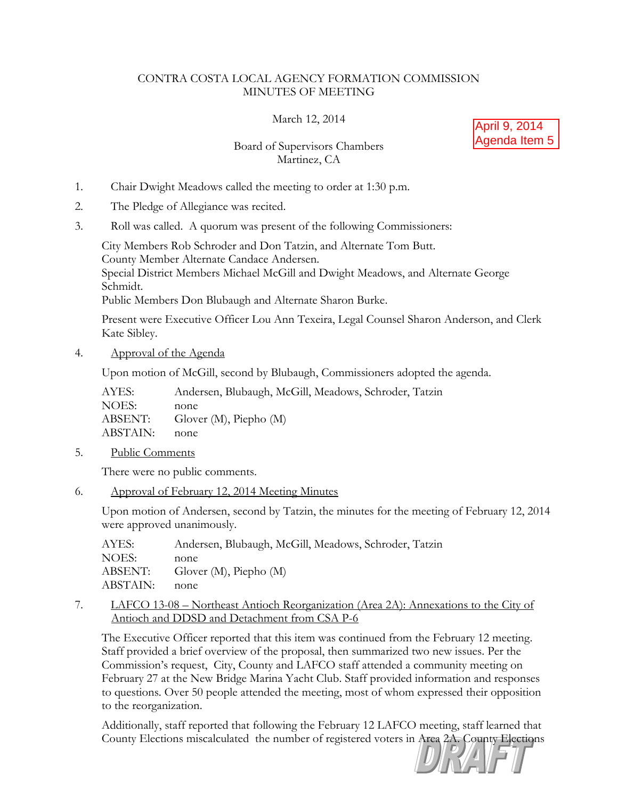## CONTRA COSTA LOCAL AGENCY FORMATION COMMISSION MINUTES OF MEETING

March 12, 2014

## Board of Supervisors Chambers Martinez, CA



- 1. Chair Dwight Meadows called the meeting to order at 1:30 p.m.
- 2. The Pledge of Allegiance was recited.
- 3. Roll was called. A quorum was present of the following Commissioners:

City Members Rob Schroder and Don Tatzin, and Alternate Tom Butt. County Member Alternate Candace Andersen. Special District Members Michael McGill and Dwight Meadows, and Alternate George Schmidt.

Public Members Don Blubaugh and Alternate Sharon Burke.

Present were Executive Officer Lou Ann Texeira, Legal Counsel Sharon Anderson, and Clerk Kate Sibley.

4. Approval of the Agenda

Upon motion of McGill, second by Blubaugh, Commissioners adopted the agenda.

| AYES:    | Andersen, Blubaugh, McGill, Meadows, Schroder, Tatzin |
|----------|-------------------------------------------------------|
| NOES:    | none                                                  |
| ABSENT:  | Glover $(M)$ , Piepho $(M)$                           |
| ABSTAIN: | none                                                  |
|          |                                                       |

5. Public Comments

There were no public comments.

6. Approval of February 12, 2014 Meeting Minutes

Upon motion of Andersen, second by Tatzin, the minutes for the meeting of February 12, 2014 were approved unanimously.

| AYES:    | Andersen, Blubaugh, McGill, Meadows, Schroder, Tatzin |
|----------|-------------------------------------------------------|
| NOES:    | none                                                  |
| ABSENT:  | Glover $(M)$ , Piepho $(M)$                           |
| ABSTAIN: | none                                                  |

7. LAFCO 13-08 – Northeast Antioch Reorganization (Area 2A): Annexations to the City of Antioch and DDSD and Detachment from CSA P-6

The Executive Officer reported that this item was continued from the February 12 meeting. Staff provided a brief overview of the proposal, then summarized two new issues. Per the Commission's request, City, County and LAFCO staff attended a community meeting on February 27 at the New Bridge Marina Yacht Club. Staff provided information and responses to questions. Over 50 people attended the meeting, most of whom expressed their opposition to the reorganization.

Additionally, staff reported that following the February 12 LAFCO meeting, staff learned that County Elections miscalculated the number of registered voters in Area 2A. County Elections

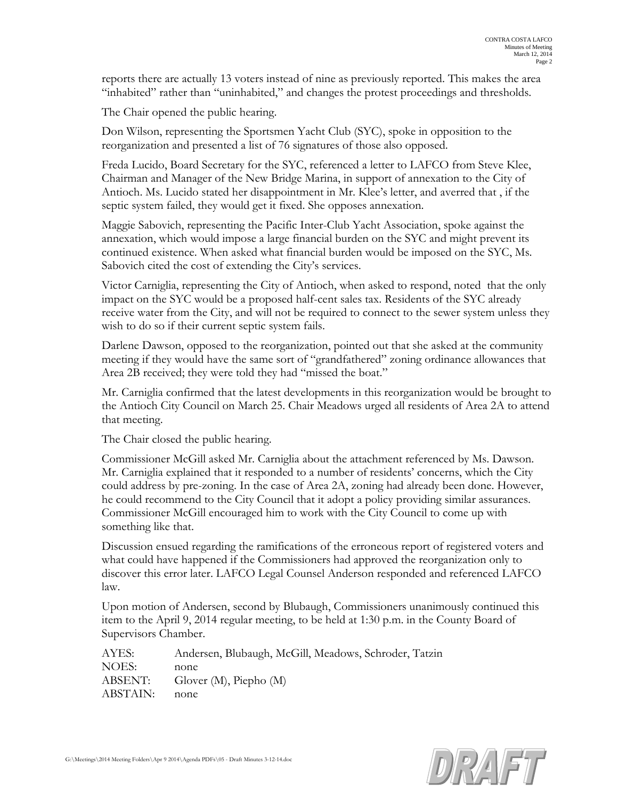reports there are actually 13 voters instead of nine as previously reported. This makes the area "inhabited" rather than "uninhabited," and changes the protest proceedings and thresholds.

The Chair opened the public hearing.

Don Wilson, representing the Sportsmen Yacht Club (SYC), spoke in opposition to the reorganization and presented a list of 76 signatures of those also opposed.

Freda Lucido, Board Secretary for the SYC, referenced a letter to LAFCO from Steve Klee, Chairman and Manager of the New Bridge Marina, in support of annexation to the City of Antioch. Ms. Lucido stated her disappointment in Mr. Klee's letter, and averred that , if the septic system failed, they would get it fixed. She opposes annexation.

Maggie Sabovich, representing the Pacific Inter-Club Yacht Association, spoke against the annexation, which would impose a large financial burden on the SYC and might prevent its continued existence. When asked what financial burden would be imposed on the SYC, Ms. Sabovich cited the cost of extending the City's services.

Victor Carniglia, representing the City of Antioch, when asked to respond, noted that the only impact on the SYC would be a proposed half-cent sales tax. Residents of the SYC already receive water from the City, and will not be required to connect to the sewer system unless they wish to do so if their current septic system fails.

Darlene Dawson, opposed to the reorganization, pointed out that she asked at the community meeting if they would have the same sort of "grandfathered" zoning ordinance allowances that Area 2B received; they were told they had "missed the boat."

Mr. Carniglia confirmed that the latest developments in this reorganization would be brought to the Antioch City Council on March 25. Chair Meadows urged all residents of Area 2A to attend that meeting.

The Chair closed the public hearing.

Commissioner McGill asked Mr. Carniglia about the attachment referenced by Ms. Dawson. Mr. Carniglia explained that it responded to a number of residents' concerns, which the City could address by pre-zoning. In the case of Area 2A, zoning had already been done. However, he could recommend to the City Council that it adopt a policy providing similar assurances. Commissioner McGill encouraged him to work with the City Council to come up with something like that.

Discussion ensued regarding the ramifications of the erroneous report of registered voters and what could have happened if the Commissioners had approved the reorganization only to discover this error later. LAFCO Legal Counsel Anderson responded and referenced LAFCO law.

Upon motion of Andersen, second by Blubaugh, Commissioners unanimously continued this item to the April 9, 2014 regular meeting, to be held at 1:30 p.m. in the County Board of Supervisors Chamber.

AYES: Andersen, Blubaugh, McGill, Meadows, Schroder, Tatzin NOES: none ABSENT: Glover (M), Piepho (M) ABSTAIN: none

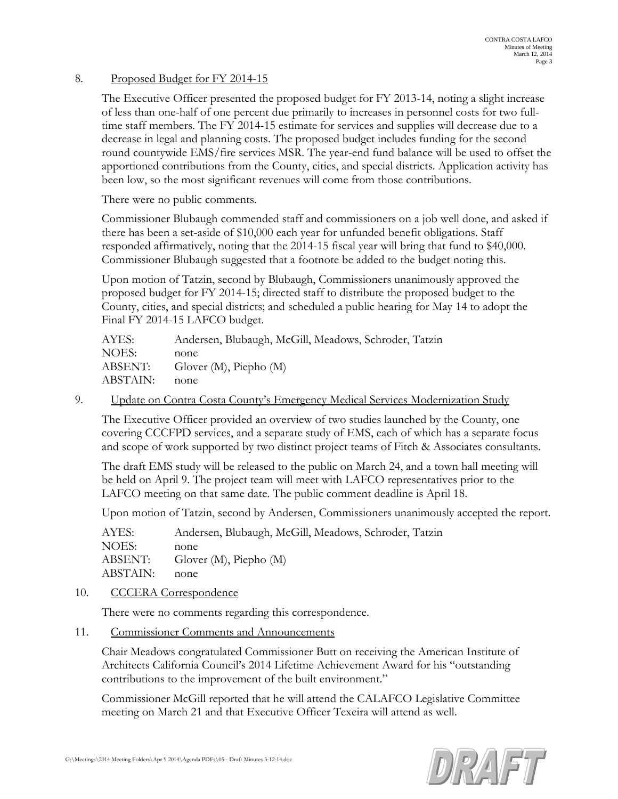## 8. Proposed Budget for FY 2014-15

The Executive Officer presented the proposed budget for FY 2013-14, noting a slight increase of less than one-half of one percent due primarily to increases in personnel costs for two fulltime staff members. The FY 2014-15 estimate for services and supplies will decrease due to a decrease in legal and planning costs. The proposed budget includes funding for the second round countywide EMS/fire services MSR. The year-end fund balance will be used to offset the apportioned contributions from the County, cities, and special districts. Application activity has been low, so the most significant revenues will come from those contributions.

There were no public comments.

Commissioner Blubaugh commended staff and commissioners on a job well done, and asked if there has been a set-aside of \$10,000 each year for unfunded benefit obligations. Staff responded affirmatively, noting that the 2014-15 fiscal year will bring that fund to \$40,000. Commissioner Blubaugh suggested that a footnote be added to the budget noting this.

Upon motion of Tatzin, second by Blubaugh, Commissioners unanimously approved the proposed budget for FY 2014-15; directed staff to distribute the proposed budget to the County, cities, and special districts; and scheduled a public hearing for May 14 to adopt the Final FY 2014-15 LAFCO budget.

| Andersen, Blubaugh, McGill, Meadows, Schroder, Tatzin |
|-------------------------------------------------------|
| none                                                  |
| Glover $(M)$ , Piepho $(M)$                           |
| none                                                  |
|                                                       |

9. Update on Contra Costa County's Emergency Medical Services Modernization Study

The Executive Officer provided an overview of two studies launched by the County, one covering CCCFPD services, and a separate study of EMS, each of which has a separate focus and scope of work supported by two distinct project teams of Fitch & Associates consultants.

The draft EMS study will be released to the public on March 24, and a town hall meeting will be held on April 9. The project team will meet with LAFCO representatives prior to the LAFCO meeting on that same date. The public comment deadline is April 18.

Upon motion of Tatzin, second by Andersen, Commissioners unanimously accepted the report.

AYES: Andersen, Blubaugh, McGill, Meadows, Schroder, Tatzin NOES: none ABSENT: Glover (M), Piepho (M) ABSTAIN: none

## 10. CCCERA Correspondence

There were no comments regarding this correspondence.

11. Commissioner Comments and Announcements

Chair Meadows congratulated Commissioner Butt on receiving the American Institute of Architects California Council's 2014 Lifetime Achievement Award for his "outstanding contributions to the improvement of the built environment."

Commissioner McGill reported that he will attend the CALAFCO Legislative Committee meeting on March 21 and that Executive Officer Texeira will attend as well.